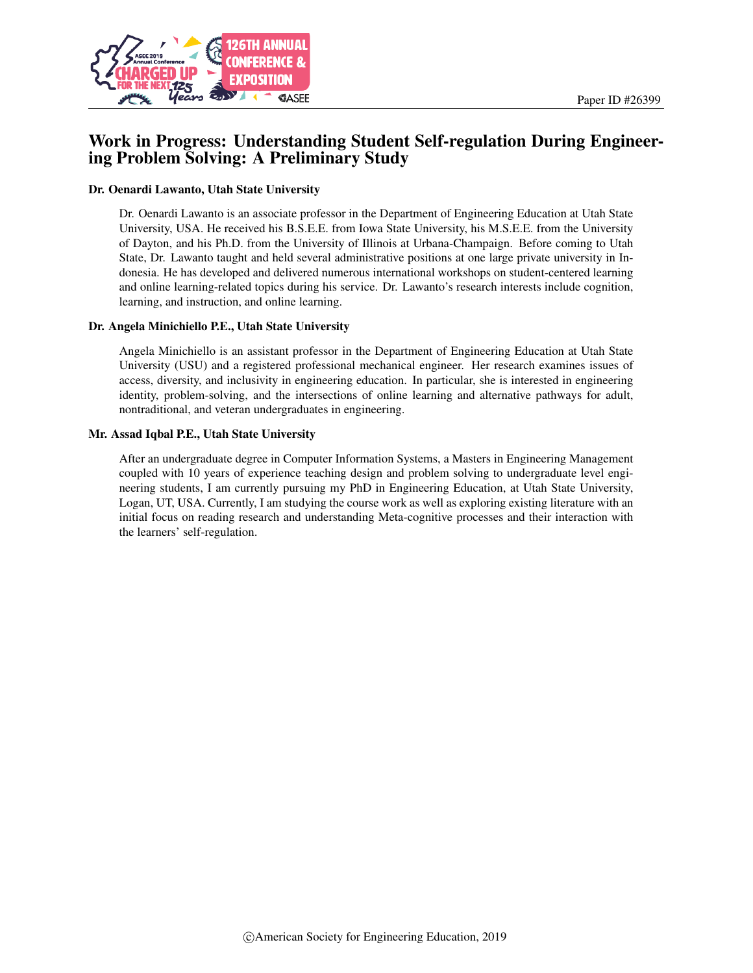

# Work in Progress: Understanding Student Self-regulation During Engineering Problem Solving: A Preliminary Study

#### Dr. Oenardi Lawanto, Utah State University

Dr. Oenardi Lawanto is an associate professor in the Department of Engineering Education at Utah State University, USA. He received his B.S.E.E. from Iowa State University, his M.S.E.E. from the University of Dayton, and his Ph.D. from the University of Illinois at Urbana-Champaign. Before coming to Utah State, Dr. Lawanto taught and held several administrative positions at one large private university in Indonesia. He has developed and delivered numerous international workshops on student-centered learning and online learning-related topics during his service. Dr. Lawanto's research interests include cognition, learning, and instruction, and online learning.

#### Dr. Angela Minichiello P.E., Utah State University

Angela Minichiello is an assistant professor in the Department of Engineering Education at Utah State University (USU) and a registered professional mechanical engineer. Her research examines issues of access, diversity, and inclusivity in engineering education. In particular, she is interested in engineering identity, problem-solving, and the intersections of online learning and alternative pathways for adult, nontraditional, and veteran undergraduates in engineering.

#### Mr. Assad Iqbal P.E., Utah State University

After an undergraduate degree in Computer Information Systems, a Masters in Engineering Management coupled with 10 years of experience teaching design and problem solving to undergraduate level engineering students, I am currently pursuing my PhD in Engineering Education, at Utah State University, Logan, UT, USA. Currently, I am studying the course work as well as exploring existing literature with an initial focus on reading research and understanding Meta-cognitive processes and their interaction with the learners' self-regulation.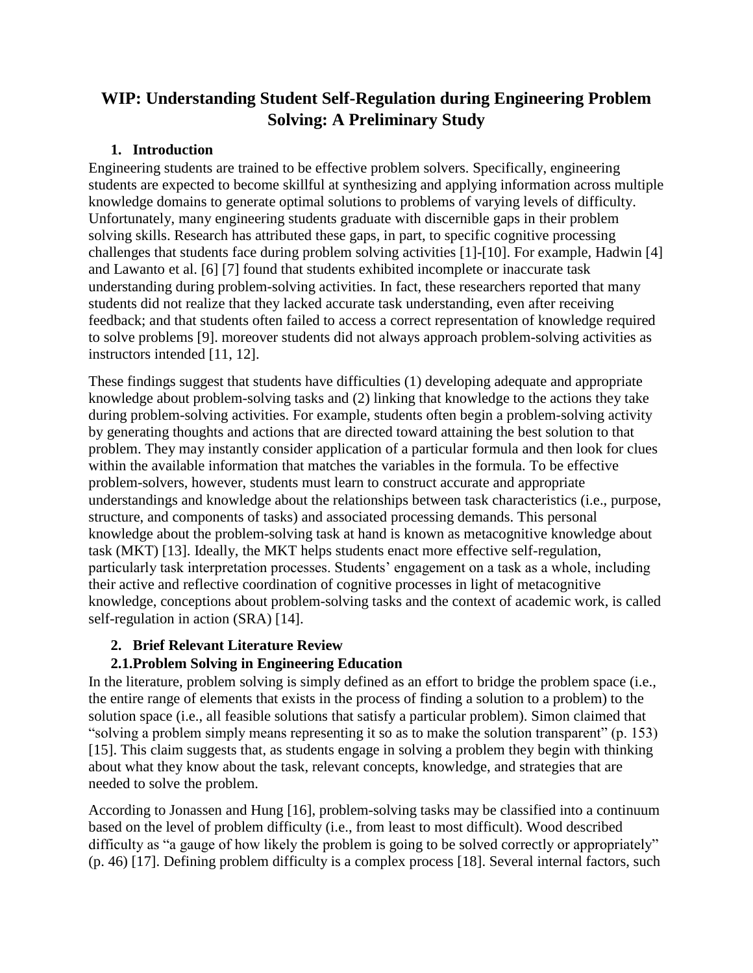# **WIP: Understanding Student Self-Regulation during Engineering Problem Solving: A Preliminary Study**

### **1. Introduction**

Engineering students are trained to be effective problem solvers. Specifically, engineering students are expected to become skillful at synthesizing and applying information across multiple knowledge domains to generate optimal solutions to problems of varying levels of difficulty. Unfortunately, many engineering students graduate with discernible gaps in their problem solving skills. Research has attributed these gaps, in part, to specific cognitive processing challenges that students face during problem solving activities [1]-[10]. For example, Hadwin [4] and Lawanto et al. [6] [7] found that students exhibited incomplete or inaccurate task understanding during problem-solving activities. In fact, these researchers reported that many students did not realize that they lacked accurate task understanding, even after receiving feedback; and that students often failed to access a correct representation of knowledge required to solve problems [9]. moreover students did not always approach problem-solving activities as instructors intended [11, 12].

These findings suggest that students have difficulties (1) developing adequate and appropriate knowledge about problem-solving tasks and (2) linking that knowledge to the actions they take during problem-solving activities. For example, students often begin a problem-solving activity by generating thoughts and actions that are directed toward attaining the best solution to that problem. They may instantly consider application of a particular formula and then look for clues within the available information that matches the variables in the formula. To be effective problem-solvers, however, students must learn to construct accurate and appropriate understandings and knowledge about the relationships between task characteristics (i.e., purpose, structure, and components of tasks) and associated processing demands. This personal knowledge about the problem-solving task at hand is known as metacognitive knowledge about task (MKT) [13]. Ideally, the MKT helps students enact more effective self-regulation, particularly task interpretation processes. Students' engagement on a task as a whole, including their active and reflective coordination of cognitive processes in light of metacognitive knowledge, conceptions about problem-solving tasks and the context of academic work, is called self-regulation in action (SRA) [14].

# **2. Brief Relevant Literature Review**

# **2.1.Problem Solving in Engineering Education**

In the literature, problem solving is simply defined as an effort to bridge the problem space (i.e., the entire range of elements that exists in the process of finding a solution to a problem) to the solution space (i.e., all feasible solutions that satisfy a particular problem). Simon claimed that "solving a problem simply means representing it so as to make the solution transparent" (p. 153) [15]. This claim suggests that, as students engage in solving a problem they begin with thinking about what they know about the task, relevant concepts, knowledge, and strategies that are needed to solve the problem.

According to Jonassen and Hung [16], problem-solving tasks may be classified into a continuum based on the level of problem difficulty (i.e., from least to most difficult). Wood described difficulty as "a gauge of how likely the problem is going to be solved correctly or appropriately" (p. 46) [17]. Defining problem difficulty is a complex process [18]. Several internal factors, such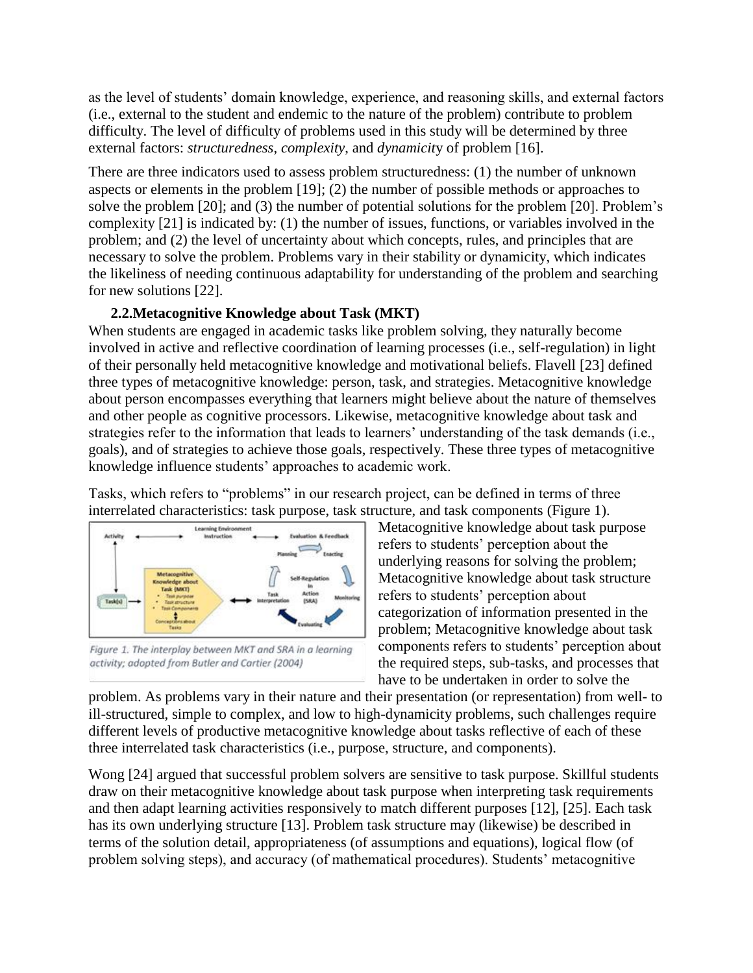as the level of students' domain knowledge, experience, and reasoning skills, and external factors (i.e., external to the student and endemic to the nature of the problem) contribute to problem difficulty. The level of difficulty of problems used in this study will be determined by three external factors: *structuredness*, *complexity*, and *dynamicit*y of problem [16].

There are three indicators used to assess problem structuredness: (1) the number of unknown aspects or elements in the problem [19]; (2) the number of possible methods or approaches to solve the problem [20]; and (3) the number of potential solutions for the problem [20]. Problem's complexity [21] is indicated by: (1) the number of issues, functions, or variables involved in the problem; and (2) the level of uncertainty about which concepts, rules, and principles that are necessary to solve the problem. Problems vary in their stability or dynamicity, which indicates the likeliness of needing continuous adaptability for understanding of the problem and searching for new solutions [22].

#### **2.2.Metacognitive Knowledge about Task (MKT)**

When students are engaged in academic tasks like problem solving, they naturally become involved in active and reflective coordination of learning processes (i.e., self-regulation) in light of their personally held metacognitive knowledge and motivational beliefs. Flavell [23] defined three types of metacognitive knowledge: person, task, and strategies. Metacognitive knowledge about person encompasses everything that learners might believe about the nature of themselves and other people as cognitive processors. Likewise, metacognitive knowledge about task and strategies refer to the information that leads to learners' understanding of the task demands (i.e., goals), and of strategies to achieve those goals, respectively. These three types of metacognitive knowledge influence students' approaches to academic work.

Tasks, which refers to "problems" in our research project, can be defined in terms of three interrelated characteristics: task purpose, task structure, and task components (Figure 1).



Figure 1. The interplay between MKT and SRA in a learning activity; adopted from Butler and Cartier (2004)

Metacognitive knowledge about task purpose refers to students' perception about the underlying reasons for solving the problem; Metacognitive knowledge about task structure refers to students' perception about categorization of information presented in the problem; Metacognitive knowledge about task components refers to students' perception about the required steps, sub-tasks, and processes that have to be undertaken in order to solve the

problem. As problems vary in their nature and their presentation (or representation) from well- to ill-structured, simple to complex, and low to high-dynamicity problems, such challenges require different levels of productive metacognitive knowledge about tasks reflective of each of these three interrelated task characteristics (i.e., purpose, structure, and components).

Wong [24] argued that successful problem solvers are sensitive to task purpose. Skillful students draw on their metacognitive knowledge about task purpose when interpreting task requirements and then adapt learning activities responsively to match different purposes [12], [25]. Each task has its own underlying structure [13]. Problem task structure may (likewise) be described in terms of the solution detail, appropriateness (of assumptions and equations), logical flow (of problem solving steps), and accuracy (of mathematical procedures). Students' metacognitive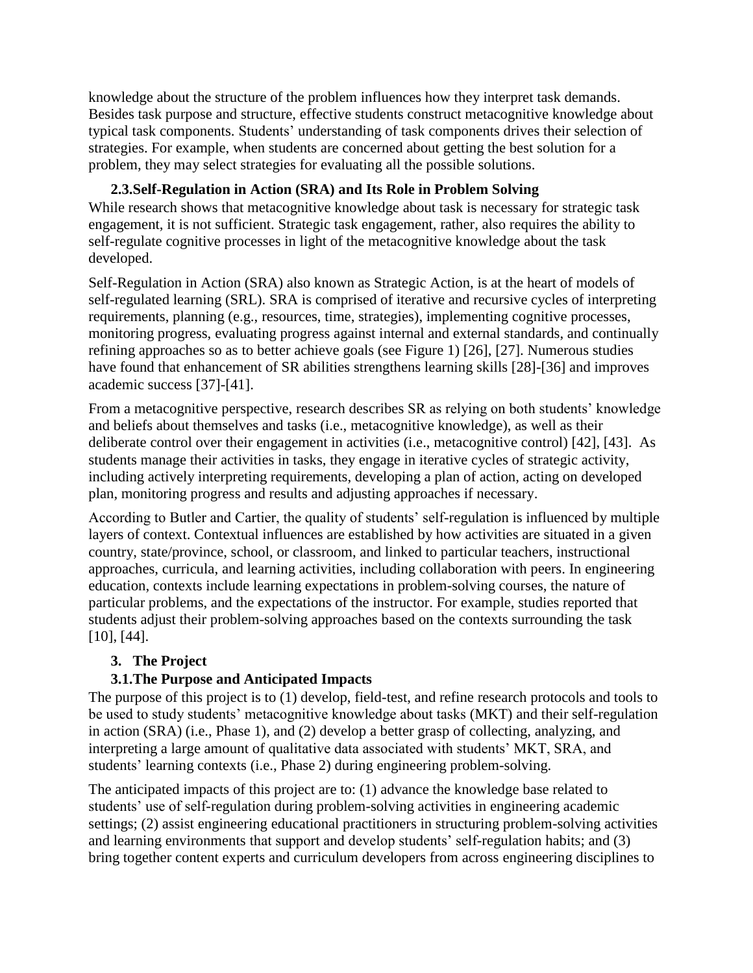knowledge about the structure of the problem influences how they interpret task demands. Besides task purpose and structure, effective students construct metacognitive knowledge about typical task components. Students' understanding of task components drives their selection of strategies. For example, when students are concerned about getting the best solution for a problem, they may select strategies for evaluating all the possible solutions.

### **2.3.Self-Regulation in Action (SRA) and Its Role in Problem Solving**

While research shows that metacognitive knowledge about task is necessary for strategic task engagement, it is not sufficient. Strategic task engagement, rather, also requires the ability to self-regulate cognitive processes in light of the metacognitive knowledge about the task developed.

Self-Regulation in Action (SRA) also known as Strategic Action, is at the heart of models of self-regulated learning (SRL). SRA is comprised of iterative and recursive cycles of interpreting requirements, planning (e.g., resources, time, strategies), implementing cognitive processes, monitoring progress, evaluating progress against internal and external standards, and continually refining approaches so as to better achieve goals (see Figure 1) [26], [27]. Numerous studies have found that enhancement of SR abilities strengthens learning skills [28]-[36] and improves academic success [37]-[41].

From a metacognitive perspective, research describes SR as relying on both students' knowledge and beliefs about themselves and tasks (i.e., metacognitive knowledge), as well as their deliberate control over their engagement in activities (i.e., metacognitive control) [42], [43]. As students manage their activities in tasks, they engage in iterative cycles of strategic activity, including actively interpreting requirements, developing a plan of action, acting on developed plan, monitoring progress and results and adjusting approaches if necessary.

According to Butler and Cartier, the quality of students' self-regulation is influenced by multiple layers of context. Contextual influences are established by how activities are situated in a given country, state/province, school, or classroom, and linked to particular teachers, instructional approaches, curricula, and learning activities, including collaboration with peers. In engineering education, contexts include learning expectations in problem-solving courses, the nature of particular problems, and the expectations of the instructor. For example, studies reported that students adjust their problem-solving approaches based on the contexts surrounding the task [10], [44].

# **3. The Project**

# **3.1.The Purpose and Anticipated Impacts**

The purpose of this project is to (1) develop, field-test, and refine research protocols and tools to be used to study students' metacognitive knowledge about tasks (MKT) and their self-regulation in action (SRA) (i.e., Phase 1), and (2) develop a better grasp of collecting, analyzing, and interpreting a large amount of qualitative data associated with students' MKT, SRA, and students' learning contexts (i.e., Phase 2) during engineering problem-solving.

The anticipated impacts of this project are to: (1) advance the knowledge base related to students' use of self-regulation during problem-solving activities in engineering academic settings; (2) assist engineering educational practitioners in structuring problem-solving activities and learning environments that support and develop students' self-regulation habits; and (3) bring together content experts and curriculum developers from across engineering disciplines to